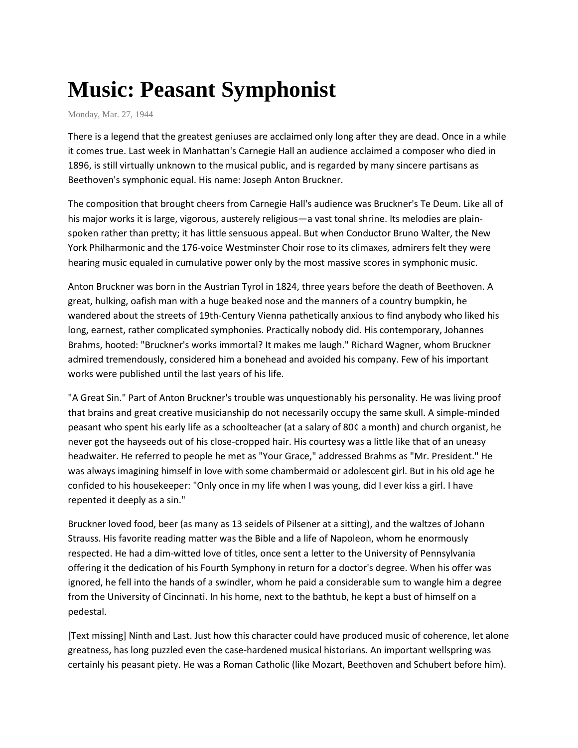## **Music: Peasant Symphonist**

Monday, Mar. 27, 1944

There is a legend that the greatest geniuses are acclaimed only long after they are dead. Once in a while it comes true. Last week in Manhattan's Carnegie Hall an audience acclaimed a composer who died in 1896, is still virtually unknown to the musical public, and is regarded by many sincere partisans as Beethoven's symphonic equal. His name: Joseph Anton Bruckner.

The composition that brought cheers from Carnegie Hall's audience was Bruckner's Te Deum. Like all of his major works it is large, vigorous, austerely religious—a vast tonal shrine. Its melodies are plainspoken rather than pretty; it has little sensuous appeal. But when Conductor Bruno Walter, the New York Philharmonic and the 176-voice Westminster Choir rose to its climaxes, admirers felt they were hearing music equaled in cumulative power only by the most massive scores in symphonic music.

Anton Bruckner was born in the Austrian Tyrol in 1824, three years before the death of Beethoven. A great, hulking, oafish man with a huge beaked nose and the manners of a country bumpkin, he wandered about the streets of 19th-Century Vienna pathetically anxious to find anybody who liked his long, earnest, rather complicated symphonies. Practically nobody did. His contemporary, Johannes Brahms, hooted: "Bruckner's works immortal? It makes me laugh." Richard Wagner, whom Bruckner admired tremendously, considered him a bonehead and avoided his company. Few of his important works were published until the last years of his life.

"A Great Sin." Part of Anton Bruckner's trouble was unquestionably his personality. He was living proof that brains and great creative musicianship do not necessarily occupy the same skull. A simple-minded peasant who spent his early life as a schoolteacher (at a salary of 80¢ a month) and church organist, he never got the hayseeds out of his close-cropped hair. His courtesy was a little like that of an uneasy headwaiter. He referred to people he met as "Your Grace," addressed Brahms as "Mr. President." He was always imagining himself in love with some chambermaid or adolescent girl. But in his old age he confided to his housekeeper: "Only once in my life when I was young, did I ever kiss a girl. I have repented it deeply as a sin."

Bruckner loved food, beer (as many as 13 seidels of Pilsener at a sitting), and the waltzes of Johann Strauss. His favorite reading matter was the Bible and a life of Napoleon, whom he enormously respected. He had a dim-witted love of titles, once sent a letter to the University of Pennsylvania offering it the dedication of his Fourth Symphony in return for a doctor's degree. When his offer was ignored, he fell into the hands of a swindler, whom he paid a considerable sum to wangle him a degree from the University of Cincinnati. In his home, next to the bathtub, he kept a bust of himself on a pedestal.

[Text missing] Ninth and Last. Just how this character could have produced music of coherence, let alone greatness, has long puzzled even the case-hardened musical historians. An important wellspring was certainly his peasant piety. He was a Roman Catholic (like Mozart, Beethoven and Schubert before him).